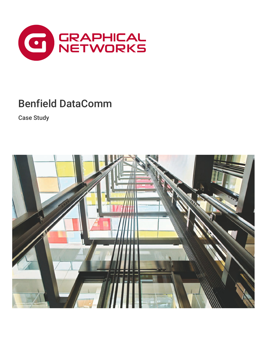

## Benfield DataComm

Case Study

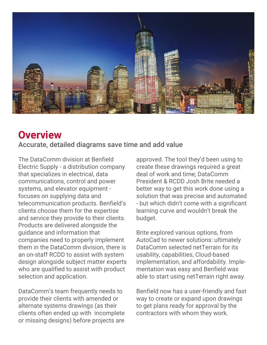

### **Overview**

Accurate, detailed diagrams save time and add value

The DataComm division at Benfield Electric Supply - a distribution company that specializes in electrical, data communications, control and power systems, and elevator equipment focuses on supplying data and telecommunication products. Benfield's clients choose them for the expertise and service they provide to their clients. Products are delivered alongside the guidance and information that companies need to properly implement them in the DataComm division, there is an on-staff RCDD to assist with system design alongside subject matter experts who are qualified to assist with product selection and application.

DataComm's team frequently needs to provide their clients with amended or alternate systems drawings (as their clients often ended up with incomplete or missing designs) before projects are

approved. The tool they'd been using to create these drawings required a great deal of work and time; DataComm President & RCDD Josh Brite needed a better way to get this work done using a solution that was precise and automated - but which didn't come with a significant learning curve and wouldn't break the budget.

Brite explored various options, from AutoCad to newer solutions: ultimately DataComm selected netTerrain for its usability, capabilities, Cloud-based implementation, and affordability. Implementation was easy and Benfield was able to start using netTerrain right away.

Benfield now has a user-friendly and fast way to create or expand upon drawings to get plans ready for approval by the contractors with whom they work.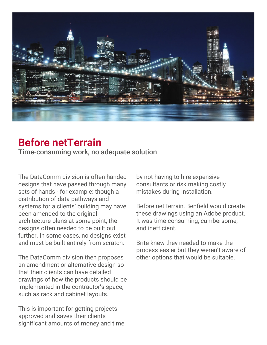

### **Before netTerrain**

Time-consuming work, no adequate solution

The DataComm division is often handed designs that have passed through many sets of hands - for example: though a distribution of data pathways and systems for a clients' building may have been amended to the original architecture plans at some point, the designs often needed to be built out further. In some cases, no designs exist and must be built entirely from scratch.

The DataComm division then proposes an amendment or alternative design so that their clients can have detailed drawings of how the products should be implemented in the contractor's space, such as rack and cabinet layouts.

This is important for getting projects approved and saves their clients significant amounts of money and time

by not having to hire expensive consultants or risk making costly mistakes during installation.

Before netTerrain, Benfield would create these drawings using an Adobe product. It was time-consuming, cumbersome, and inefficient.

Brite knew they needed to make the process easier but they weren't aware of other options that would be suitable.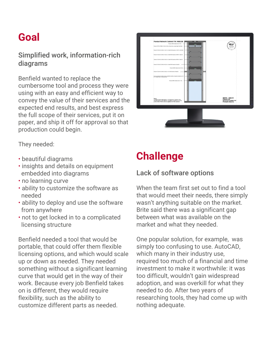## **Goal**

#### Simplified work, information-rich diagrams

Benfield wanted to replace the cumbersome tool and process they were using with an easy and efficient way to convey the value of their services and the expected end results, and best express the full scope of their services, put it on paper, and ship it off for approval so that production could begin.



They needed:

- **·** beautiful diagrams
- **· insights and details on equipment** embedded into diagrams
- **· no learning curve**
- **ability to customize the software as** needed
- **ability to deploy and use the software** from anywhere
- **· not to get locked in to a complicated** licensing structure

Benfield needed a tool that would be portable, that could offer them flexible licensing options, and which would scale up or down as needed. They needed something without a significant learning curve that would get in the way of their work. Because every job Benfield takes on is different, they would require flexibility, such as the ability to customize different parts as needed.

### **Challenge**

#### Lack of software options

When the team first set out to find a tool that would meet their needs, there simply wasn't anything suitable on the market. Brite said there was a significant gap between what was available on the market and what they needed.

One popular solution, for example, was simply too confusing to use. AutoCAD, which many in their industry use, required too much of a financial and time investment to make it worthwhile: it was too difficult, wouldn't gain widespread adoption, and was overkill for what they needed to do. After two years of researching tools, they had come up with nothing adequate.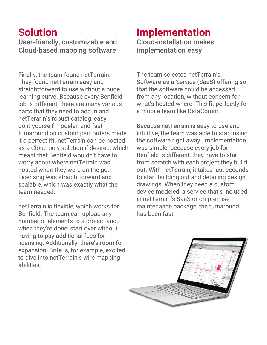# **Solution**

User-friendly, customizable and Cloud-based mapping software

Finally, the team found netTerrain. They found netTerrain easy and straightforward to use without a huge learning curve. Because every Benfield job is different, there are many various parts that they need to add in and netTerarin's robust catalog, easy do-it-yourself modeler, and fast turnaround on custom part orders made it a perfect fit. netTerrain can be hosted as a Cloud-only solution if desired, which meant that Benfield wouldn't have to worry about where netTerrain was hosted when they were on the go. Licensing was straightforward and scalable, which was exactly what the team needed.

netTerrain is flexible, which works for Benfield. The team can upload any number of elements to a project and, when they're done, start over without having to pay additional fees for licensing. Additionally, there's room for expansion. Brite is, for example, excited to dive into netTerrain's wire mapping abilities.

#### **Implementation** Cloud-installation makes implementation easy

The team selected netTerrain's Software-as-a-Service (SaaS) offering so that the software could be accessed from any location, without concern for what's hosted where. This fit perfectly for a mobile team like DataComm.

Because netTerrain is easy-to-use and intuitive, the team was able to start using the software right away. Implementation was simple: because every job for Benfield is different, they have to start from scratch with each project they build out. With netTerrain, it takes just seconds to start building out and detailing design drawings. When they need a custom device modeled, a service that's included in netTerrain's SaaS or on-premise maintenance package, the turnaround has been fast.

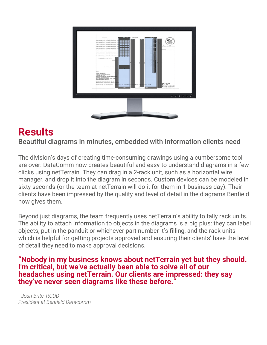

### **Results**

Beautiful diagrams in minutes, embedded with information clients need

The division's days of creating time-consuming drawings using a cumbersome tool are over: DataComm now creates beautiful and easy-to-understand diagrams in a few clicks using netTerrain. They can drag in a 2-rack unit, such as a horizontal wire manager, and drop it into the diagram in seconds. Custom devices can be modeled in sixty seconds (or the team at netTerrain will do it for them in 1 business day). Their clients have been impressed by the quality and level of detail in the diagrams Benfield now gives them.

Beyond just diagrams, the team frequently uses netTerrain's ability to tally rack units. The ability to attach information to objects in the diagrams is a big plus: they can label objects, put in the panduit or whichever part number it's filling, and the rack units which is helpful for getting projects approved and ensuring their clients' have the level of detail they need to make approval decisions.

**"Nobody in my business knows about netTerrain yet but they should. I'm critical, but we've actually been able to solve all of our headaches using netTerrain. Our clients are impressed: they say they've never seen diagrams like these before."**

*- Josh Brite, RCDD President at Benfield Datacomm*